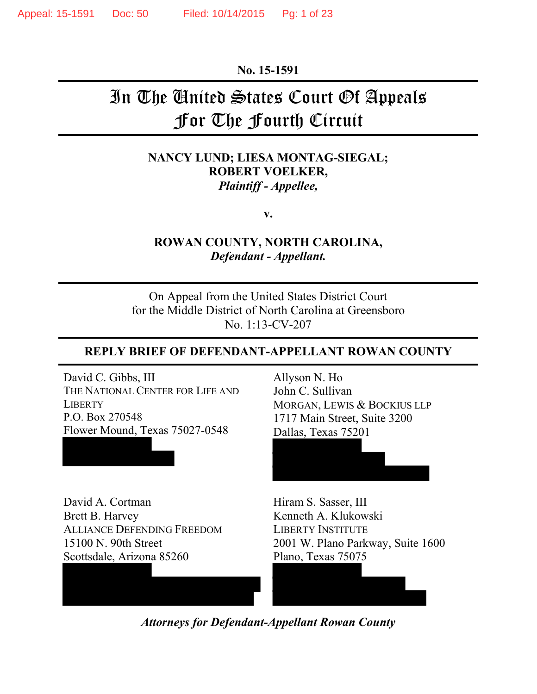**No. 15-1591**

# In The United States Court Of Appeals For The Fourth Circuit

## **NANCY LUND; LIESA MONTAG-SIEGAL; ROBERT VOELKER,** *Plaintiff - Appellee,*

**v.**

**ROWAN COUNTY, NORTH CAROLINA,** *Defendant - Appellant.*

On Appeal from the United States District Court for the Middle District of North Carolina at Greensboro No. 1:13-CV-207

#### **REPLY BRIEF OF DEFENDANT-APPELLANT ROWAN COUNTY**

David C. Gibbs, III THE NATIONAL CENTER FOR LIFE AND **LIBERTY** P.O. Box 270548 Flower Mound, Texas 75027-0548

David A. Cortman Brett B. Harvey ALLIANCE DEFENDING FREEDOM 15100 N. 90th Street Scottsdale, Arizona 85260

Allyson N. Ho John C. Sullivan MORGAN, LEWIS & BOCKIUS LLP 1717 Main Street, Suite 3200 Dallas, Texas 75201

Hiram S. Sasser, III Kenneth A. Klukowski LIBERTY INSTITUTE 2001 W. Plano Parkway, Suite 1600 Plano, Texas 75075

*Attorneys for Defendant-Appellant Rowan County*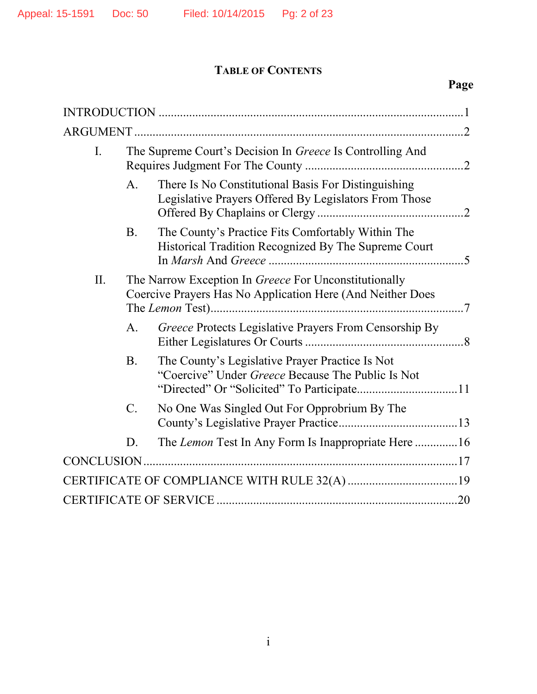## **TABLE OF CONTENTS**

| $\mathbf{I}$ . |                 | The Supreme Court's Decision In Greece Is Controlling And                                                           |  |
|----------------|-----------------|---------------------------------------------------------------------------------------------------------------------|--|
|                | A <sub>1</sub>  | There Is No Constitutional Basis For Distinguishing<br>Legislative Prayers Offered By Legislators From Those        |  |
|                | <b>B</b> .      | The County's Practice Fits Comfortably Within The<br>Historical Tradition Recognized By The Supreme Court           |  |
| II.            |                 | The Narrow Exception In Greece For Unconstitutionally<br>Coercive Prayers Has No Application Here (And Neither Does |  |
|                | $\mathbf{A}$ .  | Greece Protects Legislative Prayers From Censorship By                                                              |  |
|                | <b>B</b> .      | The County's Legislative Prayer Practice Is Not<br>"Coercive" Under Greece Because The Public Is Not                |  |
|                | $\mathcal{C}$ . | No One Was Singled Out For Opprobrium By The                                                                        |  |
|                | D.              | The Lemon Test In Any Form Is Inappropriate Here 16                                                                 |  |
|                |                 |                                                                                                                     |  |
|                |                 |                                                                                                                     |  |
|                |                 |                                                                                                                     |  |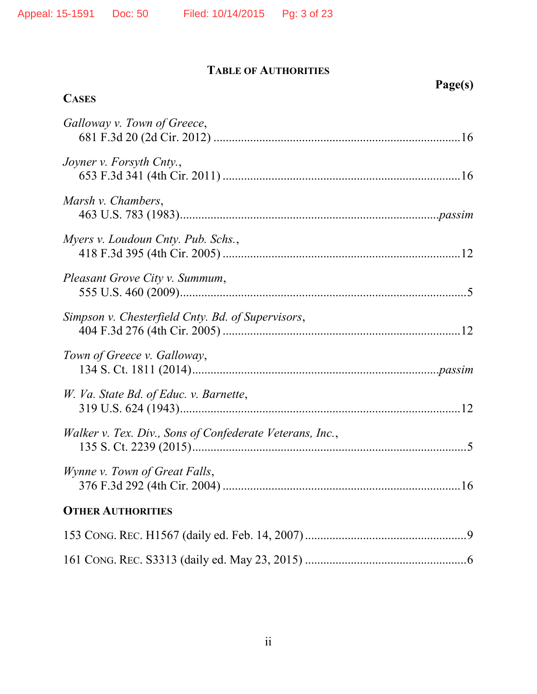| <b>CASES</b>                                             | Page(s) |
|----------------------------------------------------------|---------|
|                                                          |         |
| Galloway v. Town of Greece,                              |         |
| Joyner v. Forsyth Cnty.,                                 |         |
| Marsh v. Chambers,                                       |         |
| Myers v. Loudoun Cnty. Pub. Schs.,                       |         |
| Pleasant Grove City v. Summum,                           |         |
| Simpson v. Chesterfield Cnty. Bd. of Supervisors,        |         |
| Town of Greece v. Galloway,                              |         |
| W. Va. State Bd. of Educ. v. Barnette,                   |         |
| Walker v. Tex. Div., Sons of Confederate Veterans, Inc., |         |
| Wynne v. Town of Great Falls,                            |         |
| <b>OTHER AUTHORITIES</b>                                 |         |
|                                                          |         |
|                                                          |         |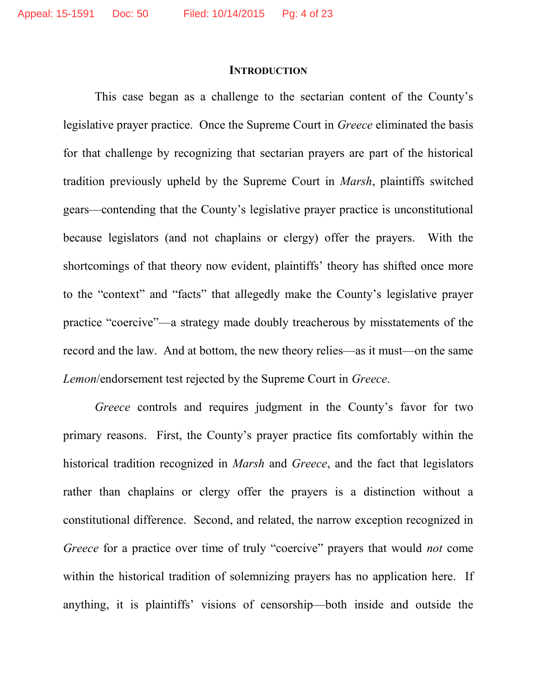#### **INTRODUCTION**

This case began as a challenge to the sectarian content of the County's legislative prayer practice. Once the Supreme Court in *Greece* eliminated the basis for that challenge by recognizing that sectarian prayers are part of the historical tradition previously upheld by the Supreme Court in *Marsh*, plaintiffs switched gears—contending that the County's legislative prayer practice is unconstitutional because legislators (and not chaplains or clergy) offer the prayers. With the shortcomings of that theory now evident, plaintiffs' theory has shifted once more to the "context" and "facts" that allegedly make the County's legislative prayer practice "coercive"—a strategy made doubly treacherous by misstatements of the record and the law. And at bottom, the new theory relies—as it must—on the same *Lemon*/endorsement test rejected by the Supreme Court in *Greece*.

*Greece* controls and requires judgment in the County's favor for two primary reasons. First, the County's prayer practice fits comfortably within the historical tradition recognized in *Marsh* and *Greece*, and the fact that legislators rather than chaplains or clergy offer the prayers is a distinction without a constitutional difference. Second, and related, the narrow exception recognized in *Greece* for a practice over time of truly "coercive" prayers that would *not* come within the historical tradition of solemnizing prayers has no application here. If anything, it is plaintiffs' visions of censorship—both inside and outside the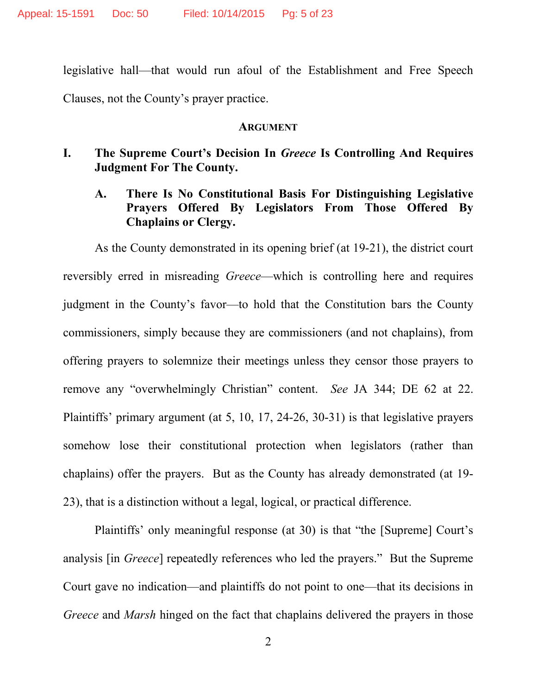legislative hall—that would run afoul of the Establishment and Free Speech Clauses, not the County's prayer practice.

#### **ARGUMENT**

- **I. The Supreme Court's Decision In** *Greece* **Is Controlling And Requires Judgment For The County.**
	- **A. There Is No Constitutional Basis For Distinguishing Legislative Prayers Offered By Legislators From Those Offered By Chaplains or Clergy.**

As the County demonstrated in its opening brief (at 19-21), the district court reversibly erred in misreading *Greece*—which is controlling here and requires judgment in the County's favor—to hold that the Constitution bars the County commissioners, simply because they are commissioners (and not chaplains), from offering prayers to solemnize their meetings unless they censor those prayers to remove any "overwhelmingly Christian" content. *See* JA 344; DE 62 at 22. Plaintiffs' primary argument (at 5, 10, 17, 24-26, 30-31) is that legislative prayers somehow lose their constitutional protection when legislators (rather than chaplains) offer the prayers. But as the County has already demonstrated (at 19- 23), that is a distinction without a legal, logical, or practical difference.

Plaintiffs' only meaningful response (at 30) is that "the [Supreme] Court's analysis [in *Greece*] repeatedly references who led the prayers." But the Supreme Court gave no indication—and plaintiffs do not point to one—that its decisions in *Greece* and *Marsh* hinged on the fact that chaplains delivered the prayers in those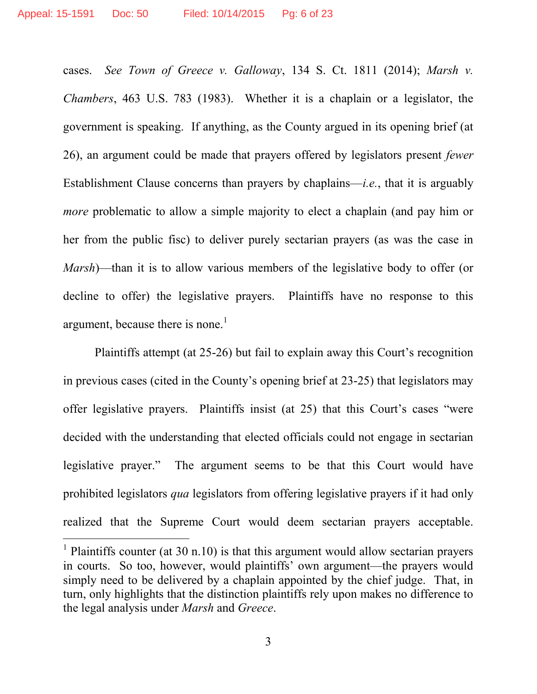<span id="page-5-1"></span><span id="page-5-0"></span>cases. *See Town of Greece v. Galloway*, 134 S. Ct. 1811 (2014); *Marsh v. Chambers*, 463 U.S. 783 (1983). Whether it is a chaplain or a legislator, the government is speaking. If anything, as the County argued in its opening brief (at 26), an argument could be made that prayers offered by legislators present *fewer* Establishment Clause concerns than prayers by chaplains—*i.e.*, that it is arguably *more* problematic to allow a simple majority to elect a chaplain (and pay him or her from the public fisc) to deliver purely sectarian prayers (as was the case in *Marsh*)—than it is to allow various members of the legislative body to offer (or decline to offer) the legislative prayers. Plaintiffs have no response to this argument, because there is none.<sup>[1](#page-5-2)</sup>

Plaintiffs attempt (at 25-26) but fail to explain away this Court's recognition in previous cases (cited in the County's opening brief at 23-25) that legislators may offer legislative prayers. Plaintiffs insist (at 25) that this Court's cases "were decided with the understanding that elected officials could not engage in sectarian legislative prayer." The argument seems to be that this Court would have prohibited legislators *qua* legislators from offering legislative prayers if it had only realized that the Supreme Court would deem sectarian prayers acceptable.

<span id="page-5-2"></span><sup>&</sup>lt;sup>1</sup> Plaintiffs counter (at 30 n.10) is that this argument would allow sectarian prayers in courts. So too, however, would plaintiffs' own argument—the prayers would simply need to be delivered by a chaplain appointed by the chief judge. That, in turn, only highlights that the distinction plaintiffs rely upon makes no difference to the legal analysis under *Marsh* and *Greece*.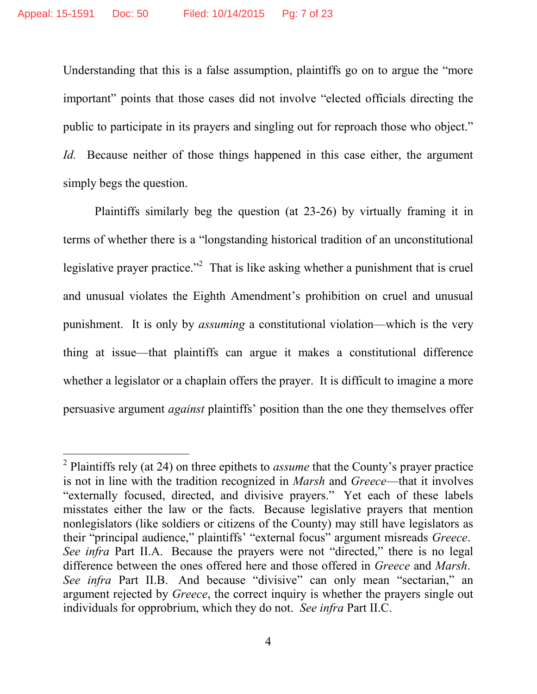Understanding that this is a false assumption, plaintiffs go on to argue the "more important" points that those cases did not involve "elected officials directing the public to participate in its prayers and singling out for reproach those who object." *Id.* Because neither of those things happened in this case either, the argument simply begs the question.

Plaintiffs similarly beg the question (at 23-26) by virtually framing it in terms of whether there is a "longstanding historical tradition of an unconstitutional legislative prayer practice."[2](#page-6-0) That is like asking whether a punishment that is cruel and unusual violates the Eighth Amendment's prohibition on cruel and unusual punishment. It is only by *assuming* a constitutional violation—which is the very thing at issue—that plaintiffs can argue it makes a constitutional difference whether a legislator or a chaplain offers the prayer. It is difficult to imagine a more persuasive argument *against* plaintiffs' position than the one they themselves offer

<span id="page-6-0"></span><sup>2</sup> Plaintiffs rely (at 24) on three epithets to *assume* that the County's prayer practice is not in line with the tradition recognized in *Marsh* and *Greece*—that it involves "externally focused, directed, and divisive prayers." Yet each of these labels misstates either the law or the facts. Because legislative prayers that mention nonlegislators (like soldiers or citizens of the County) may still have legislators as their "principal audience," plaintiffs' "external focus" argument misreads *Greece*. *See infra* Part II.A. Because the prayers were not "directed," there is no legal difference between the ones offered here and those offered in *Greece* and *Marsh*. *See infra* Part II.B. And because "divisive" can only mean "sectarian," an argument rejected by *Greece*, the correct inquiry is whether the prayers single out individuals for opprobrium, which they do not. *See infra* Part II.C.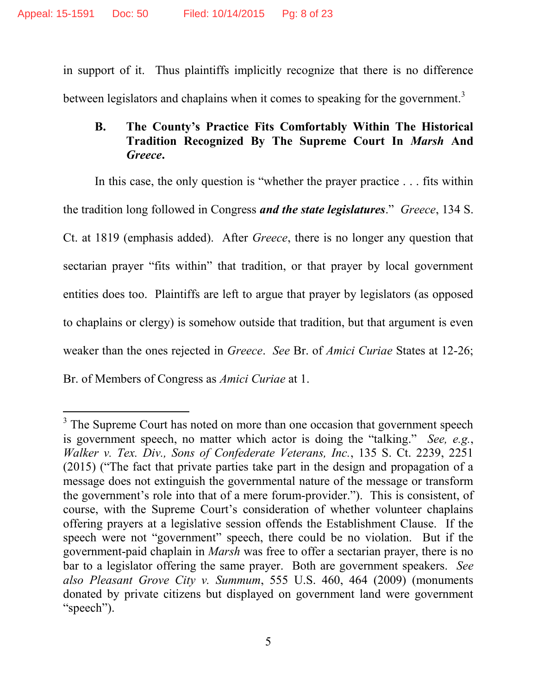in support of it. Thus plaintiffs implicitly recognize that there is no difference between legislators and chaplains when it comes to speaking for the government.<sup>[3](#page-7-2)</sup>

## **B. The County's Practice Fits Comfortably Within The Historical Tradition Recognized By The Supreme Court In** *Marsh* **And** *Greece***.**

In this case, the only question is "whether the prayer practice . . . fits within the tradition long followed in Congress *and the state legislatures*." *Greece*, 134 S. Ct. at 1819 (emphasis added). After *Greece*, there is no longer any question that sectarian prayer "fits within" that tradition, or that prayer by local government entities does too. Plaintiffs are left to argue that prayer by legislators (as opposed to chaplains or clergy) is somehow outside that tradition, but that argument is even weaker than the ones rejected in *Greece*. *See* Br. of *Amici Curiae* States at 12-26; Br. of Members of Congress as *Amici Curiae* at 1.

<span id="page-7-2"></span><span id="page-7-1"></span><span id="page-7-0"></span> $3$  The Supreme Court has noted on more than one occasion that government speech is government speech, no matter which actor is doing the "talking." *See, e.g.*, *Walker v. Tex. Div., Sons of Confederate Veterans, Inc.*, 135 S. Ct. 2239, 2251 (2015) ("The fact that private parties take part in the design and propagation of a message does not extinguish the governmental nature of the message or transform the government's role into that of a mere forum-provider."). This is consistent, of course, with the Supreme Court's consideration of whether volunteer chaplains offering prayers at a legislative session offends the Establishment Clause. If the speech were not "government" speech, there could be no violation. But if the government-paid chaplain in *Marsh* was free to offer a sectarian prayer, there is no bar to a legislator offering the same prayer. Both are government speakers. *See also Pleasant Grove City v. Summum*, 555 U.S. 460, 464 (2009) (monuments donated by private citizens but displayed on government land were government "speech").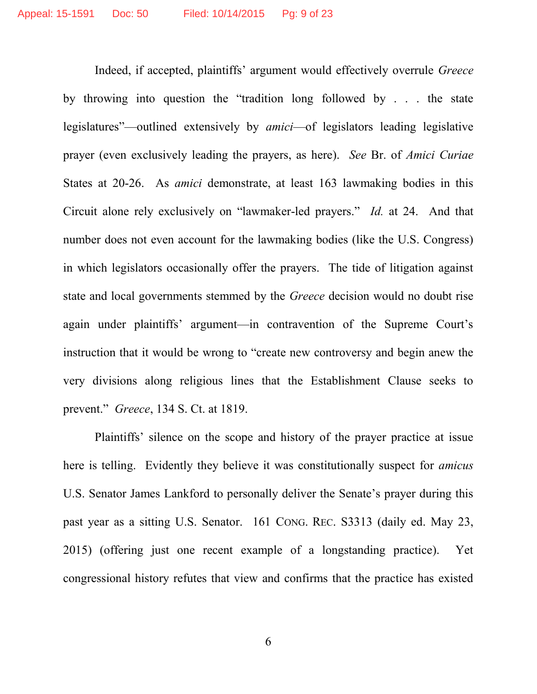Indeed, if accepted, plaintiffs' argument would effectively overrule *Greece* by throwing into question the "tradition long followed by . . . the state legislatures"—outlined extensively by *amici*—of legislators leading legislative prayer (even exclusively leading the prayers, as here). *See* Br. of *Amici Curiae* States at 20-26. As *amici* demonstrate, at least 163 lawmaking bodies in this Circuit alone rely exclusively on "lawmaker-led prayers." *Id.* at 24. And that number does not even account for the lawmaking bodies (like the U.S. Congress) in which legislators occasionally offer the prayers. The tide of litigation against state and local governments stemmed by the *Greece* decision would no doubt rise again under plaintiffs' argument—in contravention of the Supreme Court's instruction that it would be wrong to "create new controversy and begin anew the very divisions along religious lines that the Establishment Clause seeks to prevent." *Greece*, 134 S. Ct. at 1819.

Plaintiffs' silence on the scope and history of the prayer practice at issue here is telling. Evidently they believe it was constitutionally suspect for *amicus* U.S. Senator James Lankford to personally deliver the Senate's prayer during this past year as a sitting U.S. Senator. 161 CONG. REC. S3313 (daily ed. May 23, 2015) (offering just one recent example of a longstanding practice). Yet congressional history refutes that view and confirms that the practice has existed

<span id="page-8-0"></span>6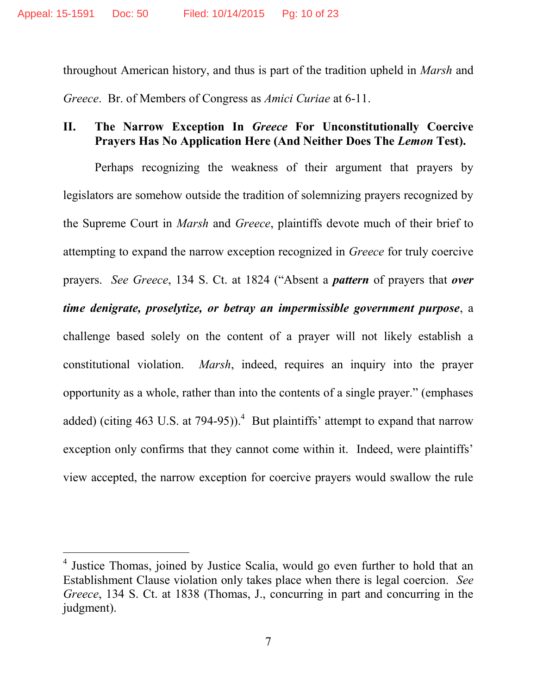throughout American history, and thus is part of the tradition upheld in *Marsh* and *Greece*. Br. of Members of Congress as *Amici Curiae* at 6-11.

### **II. The Narrow Exception In** *Greece* **For Unconstitutionally Coercive Prayers Has No Application Here (And Neither Does The** *Lemon* **Test).**

Perhaps recognizing the weakness of their argument that prayers by legislators are somehow outside the tradition of solemnizing prayers recognized by the Supreme Court in *Marsh* and *Greece*, plaintiffs devote much of their brief to attempting to expand the narrow exception recognized in *Greece* for truly coercive prayers. *See Greece*, 134 S. Ct. at 1824 ("Absent a *pattern* of prayers that *over time denigrate, proselytize, or betray an impermissible government purpose*, a challenge based solely on the content of a prayer will not likely establish a constitutional violation. *Marsh*, indeed, requires an inquiry into the prayer opportunity as a whole, rather than into the contents of a single prayer." (emphases added) (citing [4](#page-9-0)63 U.S. at 794-95)).<sup>4</sup> But plaintiffs' attempt to expand that narrow exception only confirms that they cannot come within it. Indeed, were plaintiffs' view accepted, the narrow exception for coercive prayers would swallow the rule

<span id="page-9-0"></span><sup>&</sup>lt;sup>4</sup> Justice Thomas, joined by Justice Scalia, would go even further to hold that an Establishment Clause violation only takes place when there is legal coercion. *See Greece*, 134 S. Ct. at 1838 (Thomas, J., concurring in part and concurring in the judgment).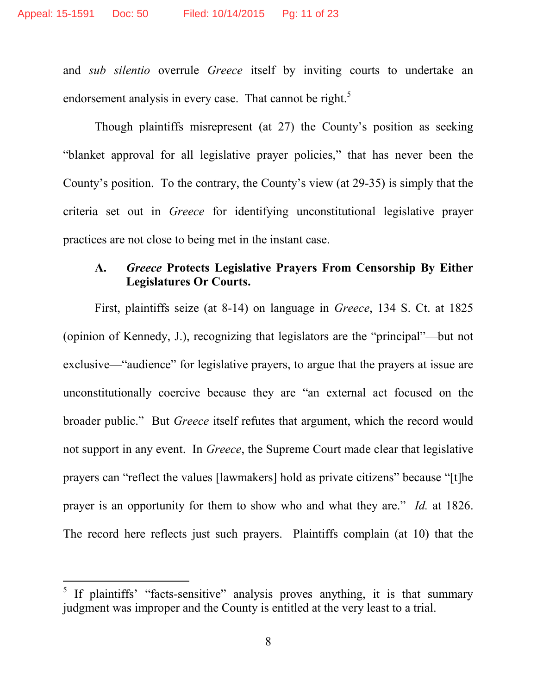and *sub silentio* overrule *Greece* itself by inviting courts to undertake an endorsement analysis in every case. That cannot be right.<sup>[5](#page-10-0)</sup>

Though plaintiffs misrepresent (at 27) the County's position as seeking "blanket approval for all legislative prayer policies," that has never been the County's position. To the contrary, the County's view (at 29-35) is simply that the criteria set out in *Greece* for identifying unconstitutional legislative prayer practices are not close to being met in the instant case.

#### **A.** *Greece* **Protects Legislative Prayers From Censorship By Either Legislatures Or Courts.**

First, plaintiffs seize (at 8-14) on language in *Greece*, 134 S. Ct. at 1825 (opinion of Kennedy, J.), recognizing that legislators are the "principal"—but not exclusive—"audience" for legislative prayers, to argue that the prayers at issue are unconstitutionally coercive because they are "an external act focused on the broader public." But *Greece* itself refutes that argument, which the record would not support in any event. In *Greece*, the Supreme Court made clear that legislative prayers can "reflect the values [lawmakers] hold as private citizens" because "[t]he prayer is an opportunity for them to show who and what they are." *Id.* at 1826. The record here reflects just such prayers. Plaintiffs complain (at 10) that the

<span id="page-10-0"></span><sup>&</sup>lt;sup>5</sup> If plaintiffs' "facts-sensitive" analysis proves anything, it is that summary judgment was improper and the County is entitled at the very least to a trial.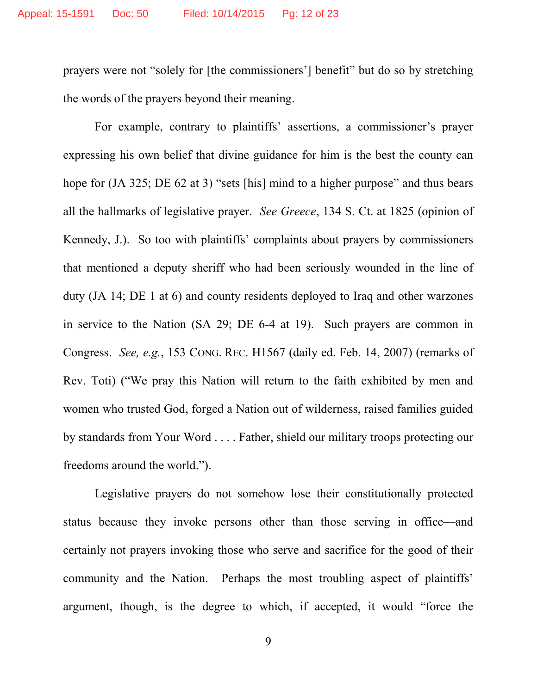prayers were not "solely for [the commissioners'] benefit" but do so by stretching the words of the prayers beyond their meaning.

For example, contrary to plaintiffs' assertions, a commissioner's prayer expressing his own belief that divine guidance for him is the best the county can hope for (JA 325; DE 62 at 3) "sets [his] mind to a higher purpose" and thus bears all the hallmarks of legislative prayer. *See Greece*, 134 S. Ct. at 1825 (opinion of Kennedy, J.). So too with plaintiffs' complaints about prayers by commissioners that mentioned a deputy sheriff who had been seriously wounded in the line of duty (JA 14; DE 1 at 6) and county residents deployed to Iraq and other warzones in service to the Nation (SA 29; DE 6-4 at 19). Such prayers are common in Congress. *See, e.g.*, 153 CONG. REC. H1567 (daily ed. Feb. 14, 2007) (remarks of Rev. Toti) ("We pray this Nation will return to the faith exhibited by men and women who trusted God, forged a Nation out of wilderness, raised families guided by standards from Your Word . . . . Father, shield our military troops protecting our freedoms around the world.").

<span id="page-11-0"></span>Legislative prayers do not somehow lose their constitutionally protected status because they invoke persons other than those serving in office—and certainly not prayers invoking those who serve and sacrifice for the good of their community and the Nation. Perhaps the most troubling aspect of plaintiffs' argument, though, is the degree to which, if accepted, it would "force the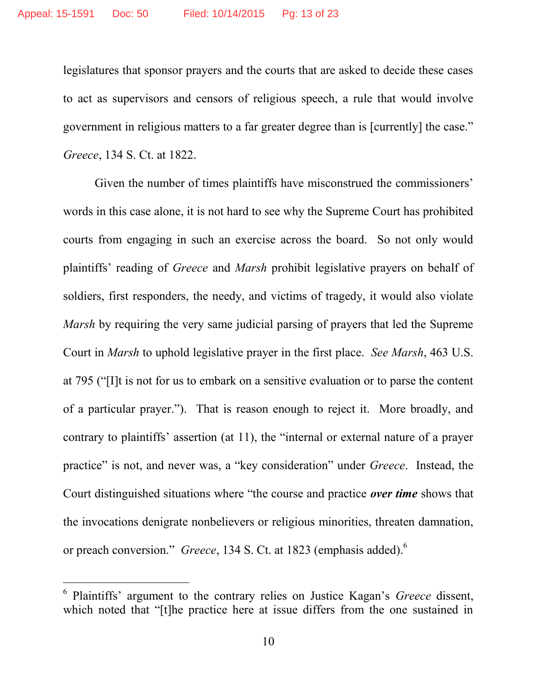legislatures that sponsor prayers and the courts that are asked to decide these cases to act as supervisors and censors of religious speech, a rule that would involve government in religious matters to a far greater degree than is [currently] the case." *Greece*, 134 S. Ct. at 1822.

Given the number of times plaintiffs have misconstrued the commissioners' words in this case alone, it is not hard to see why the Supreme Court has prohibited courts from engaging in such an exercise across the board. So not only would plaintiffs' reading of *Greece* and *Marsh* prohibit legislative prayers on behalf of soldiers, first responders, the needy, and victims of tragedy, it would also violate *Marsh* by requiring the very same judicial parsing of prayers that led the Supreme Court in *Marsh* to uphold legislative prayer in the first place. *See Marsh*, 463 U.S. at 795 ("[I]t is not for us to embark on a sensitive evaluation or to parse the content of a particular prayer."). That is reason enough to reject it. More broadly, and contrary to plaintiffs' assertion (at 11), the "internal or external nature of a prayer practice" is not, and never was, a "key consideration" under *Greece*. Instead, the Court distinguished situations where "the course and practice *over time* shows that the invocations denigrate nonbelievers or religious minorities, threaten damnation, or preach conversion." *Greece*, 134 S. Ct. at 1823 (emphasis added).[6](#page-12-0)

<span id="page-12-0"></span><sup>6</sup> Plaintiffs' argument to the contrary relies on Justice Kagan's *Greece* dissent, which noted that "[t]he practice here at issue differs from the one sustained in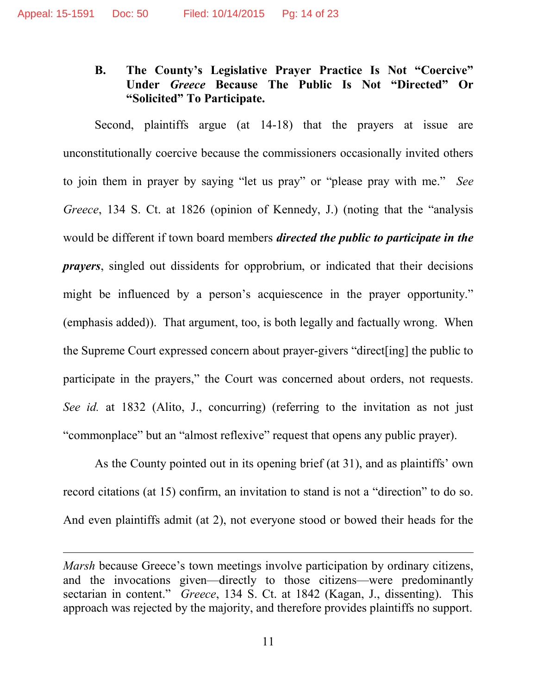## **B. The County's Legislative Prayer Practice Is Not "Coercive" Under** *Greece* **Because The Public Is Not "Directed" Or "Solicited" To Participate.**

Second, plaintiffs argue (at 14-18) that the prayers at issue are unconstitutionally coercive because the commissioners occasionally invited others to join them in prayer by saying "let us pray" or "please pray with me." *See Greece*, 134 S. Ct. at 1826 (opinion of Kennedy, J.) (noting that the "analysis would be different if town board members *directed the public to participate in the prayers*, singled out dissidents for opprobrium, or indicated that their decisions might be influenced by a person's acquiescence in the prayer opportunity." (emphasis added)). That argument, too, is both legally and factually wrong. When the Supreme Court expressed concern about prayer-givers "direct[ing] the public to participate in the prayers," the Court was concerned about orders, not requests. *See id.* at 1832 (Alito, J., concurring) (referring to the invitation as not just "commonplace" but an "almost reflexive" request that opens any public prayer).

As the County pointed out in its opening brief (at 31), and as plaintiffs' own record citations (at 15) confirm, an invitation to stand is not a "direction" to do so. And even plaintiffs admit (at 2), not everyone stood or bowed their heads for the

*Marsh* because Greece's town meetings involve participation by ordinary citizens, and the invocations given—directly to those citizens—were predominantly sectarian in content." *Greece*, 134 S. Ct. at 1842 (Kagan, J., dissenting). This approach was rejected by the majority, and therefore provides plaintiffs no support.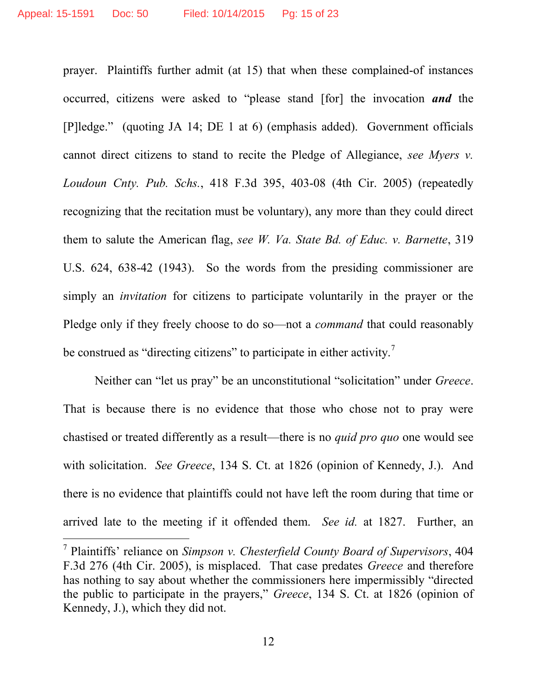<span id="page-14-0"></span>prayer. Plaintiffs further admit (at 15) that when these complained-of instances occurred, citizens were asked to "please stand [for] the invocation *and* the [P]ledge." (quoting JA 14; DE 1 at 6) (emphasis added). Government officials cannot direct citizens to stand to recite the Pledge of Allegiance, *see Myers v. Loudoun Cnty. Pub. Schs.*, 418 F.3d 395, 403-08 (4th Cir. 2005) (repeatedly recognizing that the recitation must be voluntary), any more than they could direct them to salute the American flag, *see W. Va. State Bd. of Educ. v. Barnette*, 319 U.S. 624, 638-42 (1943). So the words from the presiding commissioner are simply an *invitation* for citizens to participate voluntarily in the prayer or the Pledge only if they freely choose to do so—not a *command* that could reasonably be construed as "directing citizens" to participate in either activity.<sup>[7](#page-14-3)</sup>

<span id="page-14-2"></span>Neither can "let us pray" be an unconstitutional "solicitation" under *Greece*. That is because there is no evidence that those who chose not to pray were chastised or treated differently as a result—there is no *quid pro quo* one would see with solicitation. *See Greece*, 134 S. Ct. at 1826 (opinion of Kennedy, J.). And there is no evidence that plaintiffs could not have left the room during that time or arrived late to the meeting if it offended them. *See id.* at 1827. Further, an

<span id="page-14-3"></span><span id="page-14-1"></span><sup>7</sup> Plaintiffs' reliance on *Simpson v. Chesterfield County Board of Supervisors*, 404 F.3d 276 (4th Cir. 2005), is misplaced. That case predates *Greece* and therefore has nothing to say about whether the commissioners here impermissibly "directed the public to participate in the prayers," *Greece*, 134 S. Ct. at 1826 (opinion of Kennedy, J.), which they did not.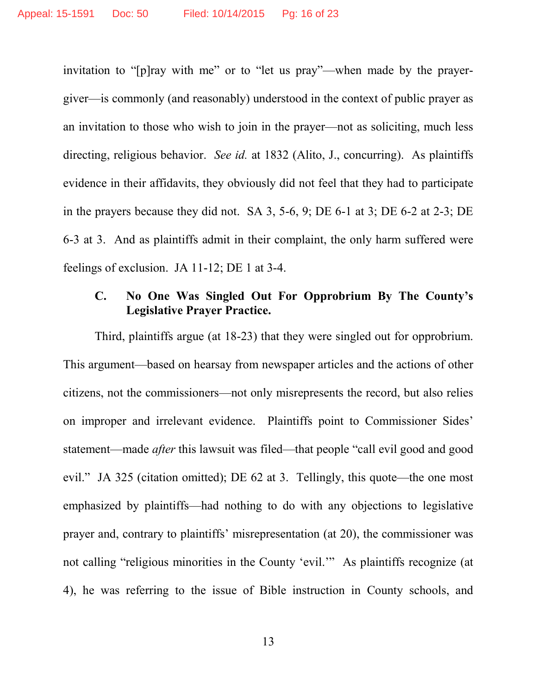invitation to "[p]ray with me" or to "let us pray"—when made by the prayergiver—is commonly (and reasonably) understood in the context of public prayer as an invitation to those who wish to join in the prayer—not as soliciting, much less directing, religious behavior. *See id.* at 1832 (Alito, J., concurring). As plaintiffs evidence in their affidavits, they obviously did not feel that they had to participate in the prayers because they did not. SA 3, 5-6, 9; DE 6-1 at 3; DE 6-2 at 2-3; DE 6-3 at 3. And as plaintiffs admit in their complaint, the only harm suffered were feelings of exclusion. JA 11-12; DE 1 at 3-4.

## **C. No One Was Singled Out For Opprobrium By The County's Legislative Prayer Practice.**

Third, plaintiffs argue (at 18-23) that they were singled out for opprobrium. This argument—based on hearsay from newspaper articles and the actions of other citizens, not the commissioners—not only misrepresents the record, but also relies on improper and irrelevant evidence. Plaintiffs point to Commissioner Sides' statement—made *after* this lawsuit was filed—that people "call evil good and good evil." JA 325 (citation omitted); DE 62 at 3. Tellingly, this quote—the one most emphasized by plaintiffs—had nothing to do with any objections to legislative prayer and, contrary to plaintiffs' misrepresentation (at 20), the commissioner was not calling "religious minorities in the County 'evil.'" As plaintiffs recognize (at 4), he was referring to the issue of Bible instruction in County schools, and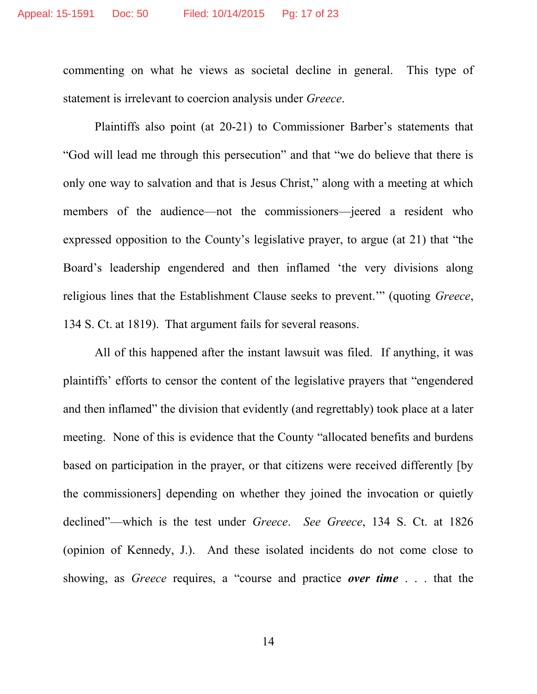commenting on what he views as societal decline in general. This type of statement is irrelevant to coercion analysis under *Greece*.

Plaintiffs also point (at 20-21) to Commissioner Barber's statements that "God will lead me through this persecution" and that "we do believe that there is only one way to salvation and that is Jesus Christ," along with a meeting at which members of the audience—not the commissioners—jeered a resident who expressed opposition to the County's legislative prayer, to argue (at 21) that "the Board's leadership engendered and then inflamed 'the very divisions along religious lines that the Establishment Clause seeks to prevent.'" (quoting *Greece*, 134 S. Ct. at 1819). That argument fails for several reasons.

All of this happened after the instant lawsuit was filed. If anything, it was plaintiffs' efforts to censor the content of the legislative prayers that "engendered and then inflamed" the division that evidently (and regrettably) took place at a later meeting. None of this is evidence that the County "allocated benefits and burdens based on participation in the prayer, or that citizens were received differently [by the commissioners] depending on whether they joined the invocation or quietly declined"—which is the test under *Greece*. *See Greece*, 134 S. Ct. at 1826 (opinion of Kennedy, J.). And these isolated incidents do not come close to showing, as *Greece* requires, a "course and practice *over time* . . . that the

14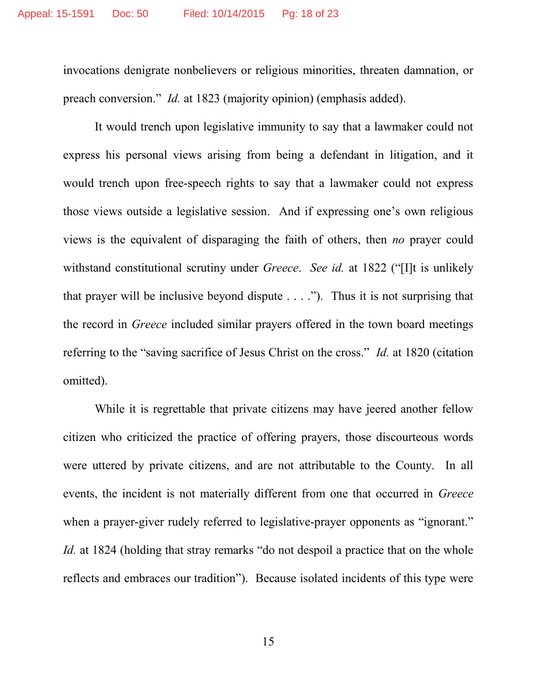invocations denigrate nonbelievers or religious minorities, threaten damnation, or preach conversion." *Id.* at 1823 (majority opinion) (emphasis added).

It would trench upon legislative immunity to say that a lawmaker could not express his personal views arising from being a defendant in litigation, and it would trench upon free-speech rights to say that a lawmaker could not express those views outside a legislative session. And if expressing one's own religious views is the equivalent of disparaging the faith of others, then *no* prayer could withstand constitutional scrutiny under *Greece*. *See id.* at 1822 ("[I]t is unlikely that prayer will be inclusive beyond dispute  $\dots$ .  $\dddot{\,}$ ). Thus it is not surprising that the record in *Greece* included similar prayers offered in the town board meetings referring to the "saving sacrifice of Jesus Christ on the cross." *Id.* at 1820 (citation omitted).

While it is regrettable that private citizens may have jeered another fellow citizen who criticized the practice of offering prayers, those discourteous words were uttered by private citizens, and are not attributable to the County. In all events, the incident is not materially different from one that occurred in *Greece* when a prayer-giver rudely referred to legislative-prayer opponents as "ignorant." *Id.* at 1824 (holding that stray remarks "do not despoil a practice that on the whole reflects and embraces our tradition"). Because isolated incidents of this type were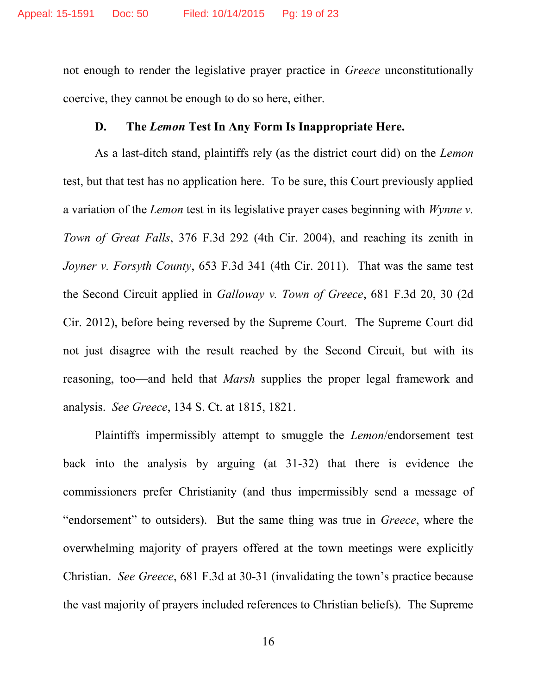not enough to render the legislative prayer practice in *Greece* unconstitutionally coercive, they cannot be enough to do so here, either.

#### <span id="page-18-1"></span>**D. The** *Lemon* **Test In Any Form Is Inappropriate Here.**

<span id="page-18-0"></span>As a last-ditch stand, plaintiffs rely (as the district court did) on the *Lemon* test, but that test has no application here. To be sure, this Court previously applied a variation of the *Lemon* test in its legislative prayer cases beginning with *Wynne v. Town of Great Falls*, 376 F.3d 292 (4th Cir. 2004), and reaching its zenith in *Joyner v. Forsyth County*, 653 F.3d 341 (4th Cir. 2011). That was the same test the Second Circuit applied in *Galloway v. Town of Greece*, 681 F.3d 20, 30 (2d Cir. 2012), before being reversed by the Supreme Court. The Supreme Court did not just disagree with the result reached by the Second Circuit, but with its reasoning, too—and held that *Marsh* supplies the proper legal framework and analysis. *See Greece*, 134 S. Ct. at 1815, 1821.

Plaintiffs impermissibly attempt to smuggle the *Lemon*/endorsement test back into the analysis by arguing (at 31-32) that there is evidence the commissioners prefer Christianity (and thus impermissibly send a message of "endorsement" to outsiders). But the same thing was true in *Greece*, where the overwhelming majority of prayers offered at the town meetings were explicitly Christian. *See Greece*, 681 F.3d at 30-31 (invalidating the town's practice because the vast majority of prayers included references to Christian beliefs). The Supreme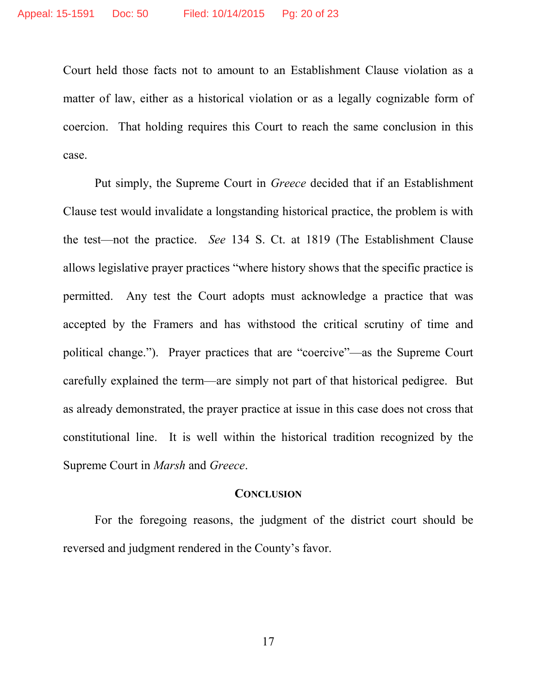Court held those facts not to amount to an Establishment Clause violation as a matter of law, either as a historical violation or as a legally cognizable form of coercion. That holding requires this Court to reach the same conclusion in this case.

Put simply, the Supreme Court in *Greece* decided that if an Establishment Clause test would invalidate a longstanding historical practice, the problem is with the test—not the practice. *See* 134 S. Ct. at 1819 (The Establishment Clause allows legislative prayer practices "where history shows that the specific practice is permitted. Any test the Court adopts must acknowledge a practice that was accepted by the Framers and has withstood the critical scrutiny of time and political change."). Prayer practices that are "coercive"—as the Supreme Court carefully explained the term—are simply not part of that historical pedigree. But as already demonstrated, the prayer practice at issue in this case does not cross that constitutional line. It is well within the historical tradition recognized by the Supreme Court in *Marsh* and *Greece*.

#### **CONCLUSION**

For the foregoing reasons, the judgment of the district court should be reversed and judgment rendered in the County's favor.

17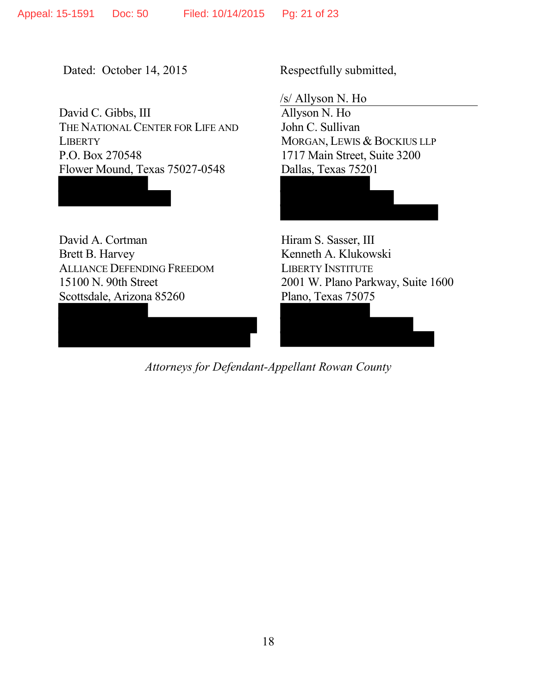Dated: October 14, 2015 Respectfully submitted,

David C. Gibbs, III THE NATIONAL CENTER FOR LIFE AND **LIBERTY** P.O. Box 270548 Flower Mound, Texas 75027-0548

David A. Cortman Brett B. Harvey ALLIANCE DEFENDING FREEDOM 15100 N. 90th Street Scottsdale, Arizona 85260

/s/ Allyson N. Ho

Allyson N. Ho John C. Sullivan MORGAN, LEWIS & BOCKIUS LLP 1717 Main Street, Suite 3200 Dallas, Texas 75201

Hiram S. Sasser, III Kenneth A. Klukowski LIBERTY INSTITUTE 2001 W. Plano Parkway, Suite 1600 Plano, Texas 75075

*Attorneys for Defendant-Appellant Rowan County*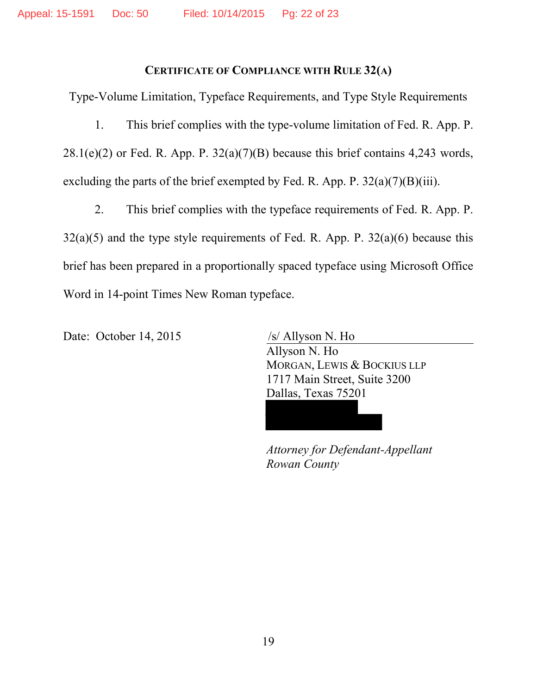## **CERTIFICATE OF COMPLIANCE WITH RULE 32(A)**

Type-Volume Limitation, Typeface Requirements, and Type Style Requirements

1. This brief complies with the type-volume limitation of Fed. R. App. P.  $28.1(e)(2)$  or Fed. R. App. P.  $32(a)(7)(B)$  because this brief contains 4,243 words, excluding the parts of the brief exempted by Fed. R. App. P.  $32(a)(7)(B)(iii)$ .

2. This brief complies with the typeface requirements of Fed. R. App. P.  $32(a)(5)$  and the type style requirements of Fed. R. App. P.  $32(a)(6)$  because this brief has been prepared in a proportionally spaced typeface using Microsoft Office Word in 14-point Times New Roman typeface.

Date: October 14, 2015 /s/ Allyson N. Ho

Allyson N. Ho MORGAN, LEWIS & BOCKIUS LLP 1717 Main Street, Suite 3200 Dallas, Texas 75201

*Attorney for Defendant-Appellant Rowan County*